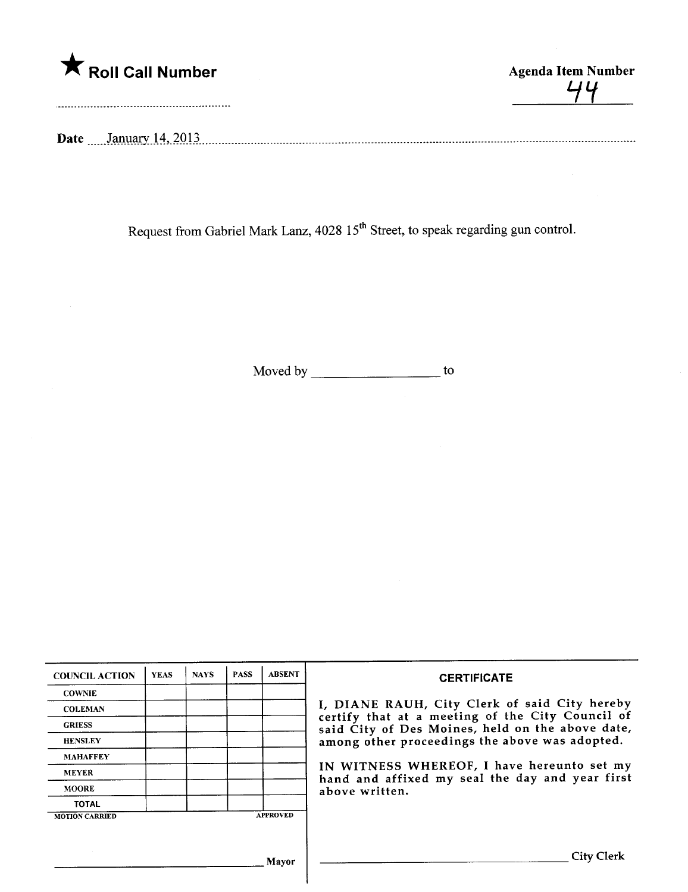

44

Date January 14, 2013

Request from Gabriel Mark Lanz, 4028 15<sup>th</sup> Street, to speak regarding gun control.

Moved by to

| <b>COUNCIL ACTION</b> | <b>YEAS</b> | <b>NAYS</b> | <b>PASS</b> | <b>ABSENT</b>   | <b>CERTIFICATE</b>                                                                                                                                                                                                                                                                                                         |  |  |  |  |
|-----------------------|-------------|-------------|-------------|-----------------|----------------------------------------------------------------------------------------------------------------------------------------------------------------------------------------------------------------------------------------------------------------------------------------------------------------------------|--|--|--|--|
| <b>COWNIE</b>         |             |             |             |                 |                                                                                                                                                                                                                                                                                                                            |  |  |  |  |
| <b>COLEMAN</b>        |             |             |             |                 | I, DIANE RAUH, City Clerk of said City hereby<br>certify that at a meeting of the City Council of<br>said City of Des Moines, held on the above date,<br>among other proceedings the above was adopted.<br>IN WITNESS WHEREOF, I have hereunto set my<br>hand and affixed my seal the day and year first<br>above written. |  |  |  |  |
| <b>GRIESS</b>         |             |             |             |                 |                                                                                                                                                                                                                                                                                                                            |  |  |  |  |
| <b>HENSLEY</b>        |             |             |             |                 |                                                                                                                                                                                                                                                                                                                            |  |  |  |  |
| <b>MAHAFFEY</b>       |             |             |             |                 |                                                                                                                                                                                                                                                                                                                            |  |  |  |  |
| <b>MEYER</b>          |             |             |             |                 |                                                                                                                                                                                                                                                                                                                            |  |  |  |  |
| <b>MOORE</b>          |             |             |             |                 |                                                                                                                                                                                                                                                                                                                            |  |  |  |  |
| <b>TOTAL</b>          |             |             |             |                 |                                                                                                                                                                                                                                                                                                                            |  |  |  |  |
| <b>MOTION CARRIED</b> |             |             |             | <b>APPROVED</b> |                                                                                                                                                                                                                                                                                                                            |  |  |  |  |
|                       |             |             |             |                 |                                                                                                                                                                                                                                                                                                                            |  |  |  |  |
|                       |             |             |             | Mayor           | City Clerk                                                                                                                                                                                                                                                                                                                 |  |  |  |  |